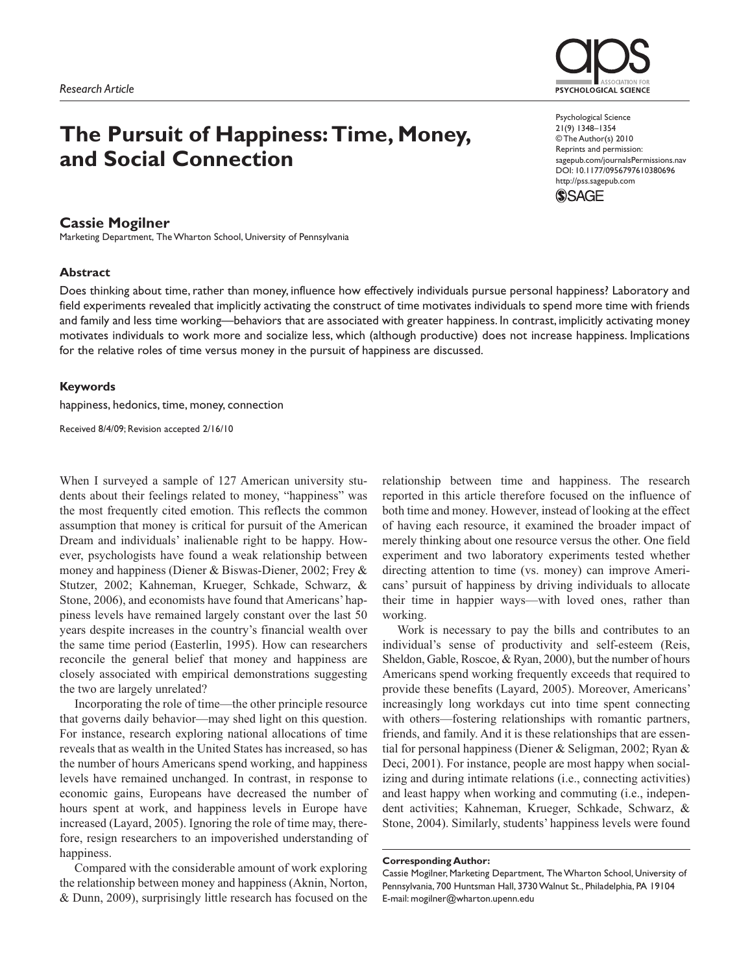# **The Pursuit of Happiness: Time, Money, and Social Connection**



Psychological Science 21(9) 1348–1354 © The Author(s) 2010 Reprints and permission: sagepub.com/journalsPermissions.nav DOI: 10.1177/0956797610380696 http://pss.sagepub.com



## **Cassie Mogilner**

Marketing Department, The Wharton School, University of Pennsylvania

#### **Abstract**

Does thinking about time, rather than money, influence how effectively individuals pursue personal happiness? Laboratory and field experiments revealed that implicitly activating the construct of time motivates individuals to spend more time with friends and family and less time working—behaviors that are associated with greater happiness. In contrast, implicitly activating money motivates individuals to work more and socialize less, which (although productive) does not increase happiness. Implications for the relative roles of time versus money in the pursuit of happiness are discussed.

#### **Keywords**

happiness, hedonics, time, money, connection

Received 8/4/09; Revision accepted 2/16/10

When I surveyed a sample of 127 American university students about their feelings related to money, "happiness" was the most frequently cited emotion. This reflects the common assumption that money is critical for pursuit of the American Dream and individuals' inalienable right to be happy. However, psychologists have found a weak relationship between money and happiness (Diener & Biswas-Diener, 2002; Frey & Stutzer, 2002; Kahneman, Krueger, Schkade, Schwarz, & Stone, 2006), and economists have found that Americans' happiness levels have remained largely constant over the last 50 years despite increases in the country's financial wealth over the same time period (Easterlin, 1995). How can researchers reconcile the general belief that money and happiness are closely associated with empirical demonstrations suggesting the two are largely unrelated?

Incorporating the role of time—the other principle resource that governs daily behavior—may shed light on this question. For instance, research exploring national allocations of time reveals that as wealth in the United States has increased, so has the number of hours Americans spend working, and happiness levels have remained unchanged. In contrast, in response to economic gains, Europeans have decreased the number of hours spent at work, and happiness levels in Europe have increased (Layard, 2005). Ignoring the role of time may, therefore, resign researchers to an impoverished understanding of happiness.

Compared with the considerable amount of work exploring the relationship between money and happiness (Aknin, Norton, & Dunn, 2009), surprisingly little research has focused on the

relationship between time and happiness. The research reported in this article therefore focused on the influence of both time and money. However, instead of looking at the effect of having each resource, it examined the broader impact of merely thinking about one resource versus the other. One field experiment and two laboratory experiments tested whether directing attention to time (vs. money) can improve Americans' pursuit of happiness by driving individuals to allocate their time in happier ways—with loved ones, rather than working.

Work is necessary to pay the bills and contributes to an individual's sense of productivity and self-esteem (Reis, Sheldon, Gable, Roscoe, & Ryan, 2000), but the number of hours Americans spend working frequently exceeds that required to provide these benefits (Layard, 2005). Moreover, Americans' increasingly long workdays cut into time spent connecting with others—fostering relationships with romantic partners, friends, and family. And it is these relationships that are essential for personal happiness (Diener & Seligman, 2002; Ryan & Deci, 2001). For instance, people are most happy when socializing and during intimate relations (i.e., connecting activities) and least happy when working and commuting (i.e., independent activities; Kahneman, Krueger, Schkade, Schwarz, & Stone, 2004). Similarly, students' happiness levels were found

#### **Corresponding Author:**

Cassie Mogilner, Marketing Department, The Wharton School, University of Pennsylvania, 700 Huntsman Hall, 3730 Walnut St., Philadelphia, PA 19104 E-mail: mogilner@wharton.upenn.edu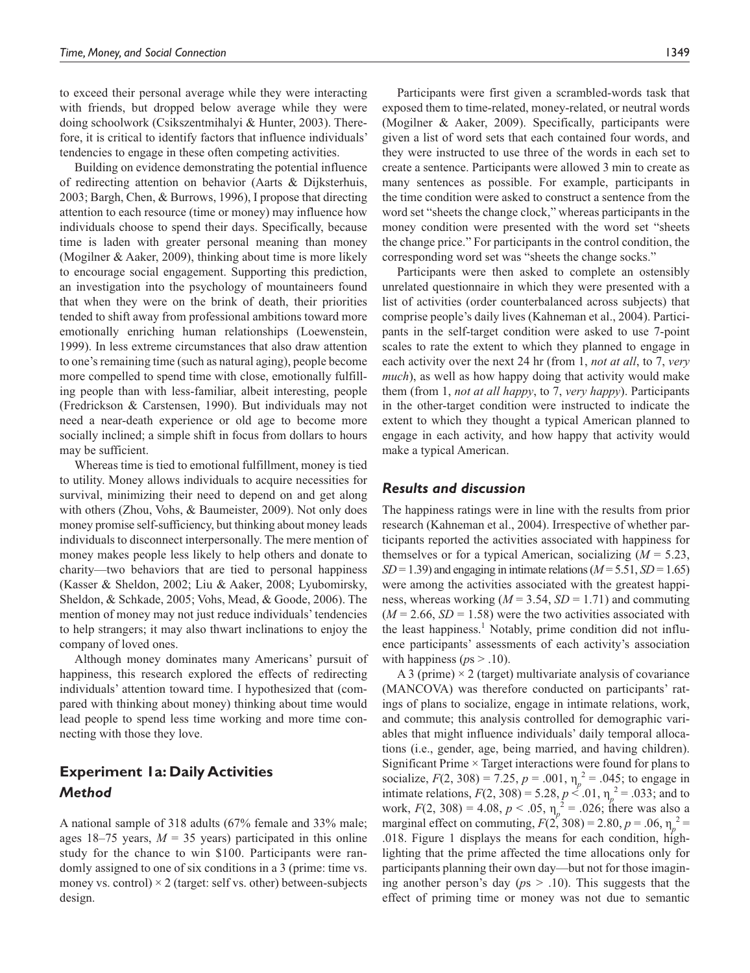to exceed their personal average while they were interacting with friends, but dropped below average while they were doing schoolwork (Csikszentmihalyi & Hunter, 2003). Therefore, it is critical to identify factors that influence individuals' tendencies to engage in these often competing activities.

Building on evidence demonstrating the potential influence of redirecting attention on behavior (Aarts & Dijksterhuis, 2003; Bargh, Chen, & Burrows, 1996), I propose that directing attention to each resource (time or money) may influence how individuals choose to spend their days. Specifically, because time is laden with greater personal meaning than money (Mogilner & Aaker, 2009), thinking about time is more likely to encourage social engagement. Supporting this prediction, an investigation into the psychology of mountaineers found that when they were on the brink of death, their priorities tended to shift away from professional ambitions toward more emotionally enriching human relationships (Loewenstein, 1999). In less extreme circumstances that also draw attention to one's remaining time (such as natural aging), people become more compelled to spend time with close, emotionally fulfilling people than with less-familiar, albeit interesting, people (Fredrickson & Carstensen, 1990). But individuals may not need a near-death experience or old age to become more socially inclined; a simple shift in focus from dollars to hours may be sufficient.

Whereas time is tied to emotional fulfillment, money is tied to utility. Money allows individuals to acquire necessities for survival, minimizing their need to depend on and get along with others (Zhou, Vohs, & Baumeister, 2009). Not only does money promise self-sufficiency, but thinking about money leads individuals to disconnect interpersonally. The mere mention of money makes people less likely to help others and donate to charity—two behaviors that are tied to personal happiness (Kasser & Sheldon, 2002; Liu & Aaker, 2008; Lyubomirsky, Sheldon, & Schkade, 2005; Vohs, Mead, & Goode, 2006). The mention of money may not just reduce individuals' tendencies to help strangers; it may also thwart inclinations to enjoy the company of loved ones.

Although money dominates many Americans' pursuit of happiness, this research explored the effects of redirecting individuals' attention toward time. I hypothesized that (compared with thinking about money) thinking about time would lead people to spend less time working and more time connecting with those they love.

# **Experiment 1a: Daily Activities** *Method*

A national sample of 318 adults (67% female and 33% male; ages 18–75 years,  $M = 35$  years) participated in this online study for the chance to win \$100. Participants were randomly assigned to one of six conditions in a 3 (prime: time vs. money vs. control)  $\times$  2 (target: self vs. other) between-subjects design.

Participants were first given a scrambled-words task that exposed them to time-related, money-related, or neutral words (Mogilner & Aaker, 2009). Specifically, participants were given a list of word sets that each contained four words, and they were instructed to use three of the words in each set to create a sentence. Participants were allowed 3 min to create as many sentences as possible. For example, participants in the time condition were asked to construct a sentence from the word set "sheets the change clock," whereas participants in the money condition were presented with the word set "sheets the change price." For participants in the control condition, the corresponding word set was "sheets the change socks."

Participants were then asked to complete an ostensibly unrelated questionnaire in which they were presented with a list of activities (order counterbalanced across subjects) that comprise people's daily lives (Kahneman et al., 2004). Participants in the self-target condition were asked to use 7-point scales to rate the extent to which they planned to engage in each activity over the next 24 hr (from 1, *not at all*, to 7, *very much*), as well as how happy doing that activity would make them (from 1, *not at all happy*, to 7, *very happy*). Participants in the other-target condition were instructed to indicate the extent to which they thought a typical American planned to engage in each activity, and how happy that activity would make a typical American.

## *Results and discussion*

The happiness ratings were in line with the results from prior research (Kahneman et al., 2004). Irrespective of whether participants reported the activities associated with happiness for themselves or for a typical American, socializing (*M* = 5.23,  $SD = 1.39$ ) and engaging in intimate relations ( $M = 5.51$ ,  $SD = 1.65$ ) were among the activities associated with the greatest happiness, whereas working  $(M = 3.54, SD = 1.71)$  and commuting  $(M = 2.66, SD = 1.58)$  were the two activities associated with the least happiness.<sup>1</sup> Notably, prime condition did not influence participants' assessments of each activity's association with happiness ( $ps > .10$ ).

A 3 (prime)  $\times$  2 (target) multivariate analysis of covariance (MANCOVA) was therefore conducted on participants' ratings of plans to socialize, engage in intimate relations, work, and commute; this analysis controlled for demographic variables that might influence individuals' daily temporal allocations (i.e., gender, age, being married, and having children). Significant Prime  $\times$  Target interactions were found for plans to socialize,  $F(2, 308) = 7.25$ ,  $p = .001$ ,  $\eta_p^2 = .045$ ; to engage in intimate relations,  $F(2, 308) = 5.28$ ,  $p < 0.01$ ,  $\eta_p^2 = .033$ ; and to work,  $F(2, 308) = 4.08$ ,  $p < .05$ ,  $\eta_p^2 = .026$ ; there was also a marginal effect on commuting,  $F(2^p, 308) = 2.80, p = .06, \eta_p^2 =$ .018. Figure 1 displays the means for each condition, highlighting that the prime affected the time allocations only for participants planning their own day—but not for those imagining another person's day (*p*s > .10). This suggests that the effect of priming time or money was not due to semantic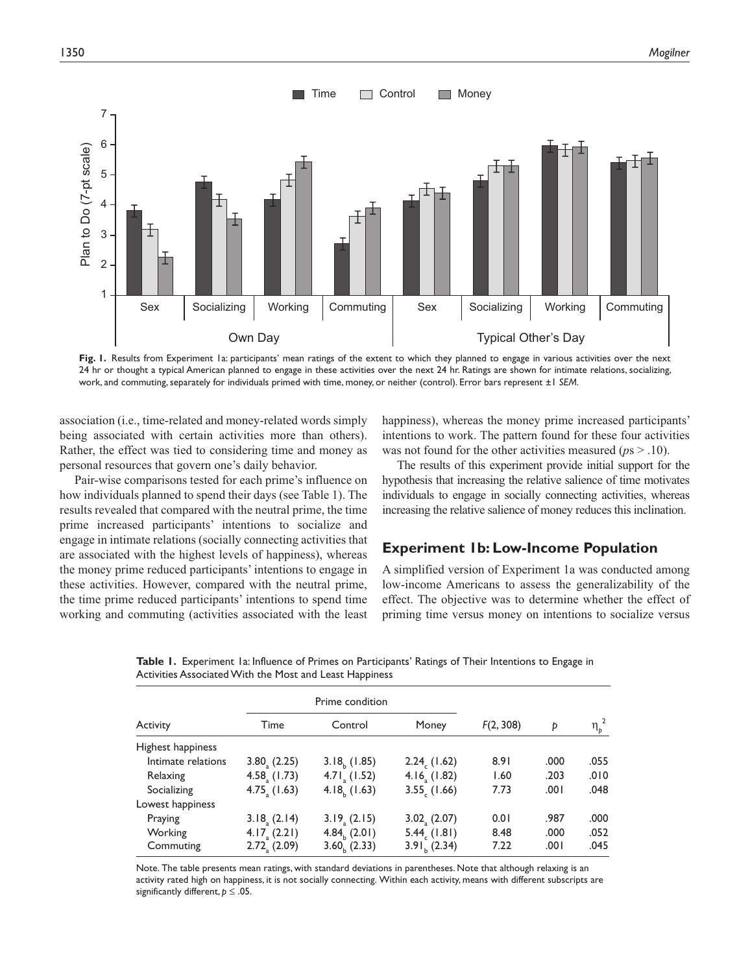

**Fig. 1.** Results from Experiment 1a: participants' mean ratings of the extent to which they planned to engage in various activities over the next 24 hr or thought a typical American planned to engage in these activities over the next 24 hr. Ratings are shown for intimate relations, socializing, work, and commuting, separately for individuals primed with time, money, or neither (control). Error bars represent ±1 *SEM*.

association (i.e., time-related and money-related words simply being associated with certain activities more than others). Rather, the effect was tied to considering time and money as personal resources that govern one's daily behavior.

Pair-wise comparisons tested for each prime's influence on how individuals planned to spend their days (see Table 1). The results revealed that compared with the neutral prime, the time prime increased participants' intentions to socialize and engage in intimate relations (socially connecting activities that are associated with the highest levels of happiness), whereas the money prime reduced participants' intentions to engage in these activities. However, compared with the neutral prime, the time prime reduced participants' intentions to spend time working and commuting (activities associated with the least

happiness), whereas the money prime increased participants' intentions to work. The pattern found for these four activities was not found for the other activities measured (*p*s > .10).

The results of this experiment provide initial support for the hypothesis that increasing the relative salience of time motivates individuals to engage in socially connecting activities, whereas increasing the relative salience of money reduces this inclination.

# **Experiment 1b: Low-Income Population**

A simplified version of Experiment 1a was conducted among low-income Americans to assess the generalizability of the effect. The objective was to determine whether the effect of priming time versus money on intentions to socialize versus

**Table 1.** Experiment 1a: Influence of Primes on Participants' Ratings of Their Intentions to Engage in Activities Associated With the Most and Least Happiness

| Activity           | Time         | Control           | Money          | F(2, 308) | Þ    | $\eta_p^2$ |
|--------------------|--------------|-------------------|----------------|-----------|------|------------|
| Highest happiness  |              |                   |                |           |      |            |
| Intimate relations | 3.80(2.25)   | $3.18k$ (1.85)    | 2.24(1.62)     | 8.91      | .000 | .055       |
| Relaxing           | 4.58, (1.73) | 4.71, (1.52)      | 4.16, (1.82)   | 1.60      | .203 | .010       |
| Socializing        | 4.75(1.63)   | $4.18_{k}$ (1.63) | 3.55(1.66)     | 7.73      | .001 | .048       |
| Lowest happiness   |              |                   |                |           |      |            |
| Praying            | 3.18, (2.14) | 3.19(2.15)        | 3.02, (2.07)   | 0.01      | .987 | .000       |
| Working            | 4.17, (2.21) | $4.84_{h}$ (2.01) | 5.44(1.81)     | 8.48      | .000 | .052       |
| Commuting          | 2.72, (2.09) | $3.60k$ (2.33)    | $3.91b$ (2.34) | 7.22      | .001 | .045       |

Note. The table presents mean ratings, with standard deviations in parentheses. Note that although relaxing is an activity rated high on happiness, it is not socially connecting. Within each activity, means with different subscripts are significantly different, *p* ≤ .05.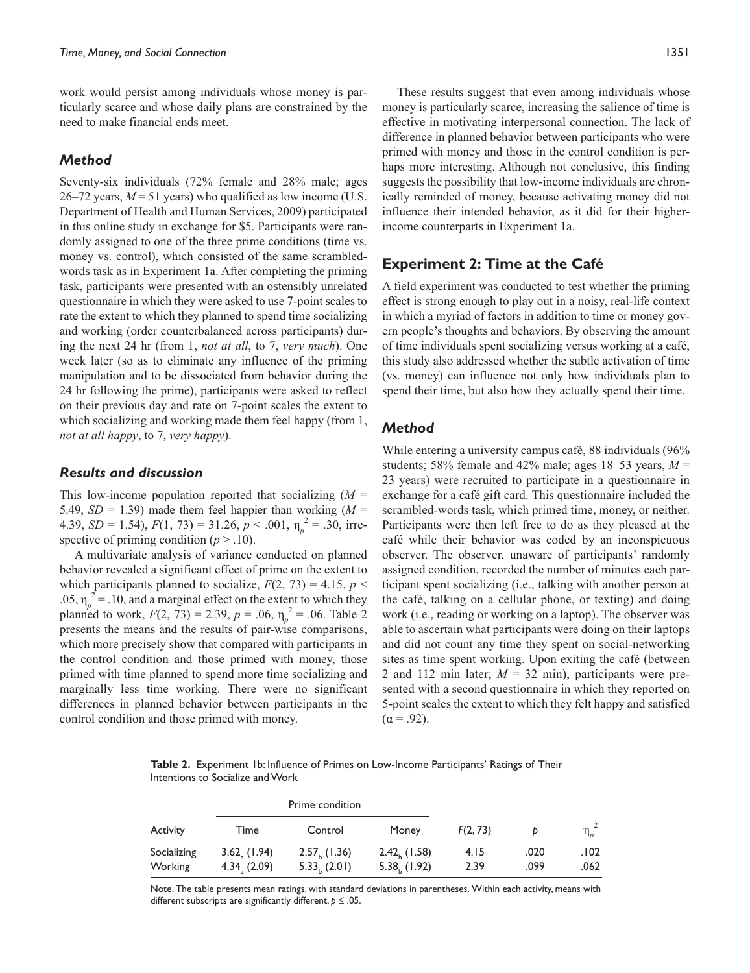work would persist among individuals whose money is particularly scarce and whose daily plans are constrained by the need to make financial ends meet.

# *Method*

Seventy-six individuals (72% female and 28% male; ages 26–72 years,  $M = 51$  years) who qualified as low income (U.S. Department of Health and Human Services, 2009) participated in this online study in exchange for \$5. Participants were randomly assigned to one of the three prime conditions (time vs. money vs. control), which consisted of the same scrambledwords task as in Experiment 1a. After completing the priming task, participants were presented with an ostensibly unrelated questionnaire in which they were asked to use 7-point scales to rate the extent to which they planned to spend time socializing and working (order counterbalanced across participants) during the next 24 hr (from 1, *not at all*, to 7, *very much*). One week later (so as to eliminate any influence of the priming manipulation and to be dissociated from behavior during the 24 hr following the prime), participants were asked to reflect on their previous day and rate on 7-point scales the extent to which socializing and working made them feel happy (from 1, *not at all happy*, to 7, *very happy*).

# *Results and discussion*

This low-income population reported that socializing (*M* = 5.49,  $SD = 1.39$ ) made them feel happier than working ( $M =$ 4.39, *SD* = 1.54),  $F(1, 73) = 31.26$ ,  $p < .001$ ,  $\eta_p^2 = .30$ , irrespective of priming condition  $(p > .10)$ .

A multivariate analysis of variance conducted on planned behavior revealed a significant effect of prime on the extent to which participants planned to socialize,  $F(2, 73) = 4.15$ ,  $p \le$ .05,  $\eta_p^2 = 0.10$ , and a marginal effect on the extent to which they planned to work,  $F(2, 73) = 2.39$ ,  $p = .06$ ,  $\eta_p^2 = .06$ . Table 2 presents the means and the results of pair-wise comparisons, which more precisely show that compared with participants in the control condition and those primed with money, those primed with time planned to spend more time socializing and marginally less time working. There were no significant differences in planned behavior between participants in the control condition and those primed with money.

These results suggest that even among individuals whose money is particularly scarce, increasing the salience of time is effective in motivating interpersonal connection. The lack of difference in planned behavior between participants who were primed with money and those in the control condition is perhaps more interesting. Although not conclusive, this finding suggests the possibility that low-income individuals are chronically reminded of money, because activating money did not influence their intended behavior, as it did for their higherincome counterparts in Experiment 1a.

# **Experiment 2: Time at the Café**

A field experiment was conducted to test whether the priming effect is strong enough to play out in a noisy, real-life context in which a myriad of factors in addition to time or money govern people's thoughts and behaviors. By observing the amount of time individuals spent socializing versus working at a café, this study also addressed whether the subtle activation of time (vs. money) can influence not only how individuals plan to spend their time, but also how they actually spend their time.

## *Method*

While entering a university campus café, 88 individuals (96%) students; 58% female and 42% male; ages 18–53 years,  $M =$ 23 years) were recruited to participate in a questionnaire in exchange for a café gift card. This questionnaire included the scrambled-words task, which primed time, money, or neither. Participants were then left free to do as they pleased at the café while their behavior was coded by an inconspicuous observer. The observer, unaware of participants' randomly assigned condition, recorded the number of minutes each participant spent socializing (i.e., talking with another person at the café, talking on a cellular phone, or texting) and doing work (i.e., reading or working on a laptop). The observer was able to ascertain what participants were doing on their laptops and did not count any time they spent on social-networking sites as time spent working. Upon exiting the café (between 2 and 112 min later;  $M = 32$  min), participants were presented with a second questionnaire in which they reported on 5-point scales the extent to which they felt happy and satisfied  $(\alpha = .92)$ .

**Table 2.** Experiment 1b: Influence of Primes on Low-Income Participants' Ratings of Their Intentions to Socialize and Work

|             |            | Prime condition |                |          |      |            |
|-------------|------------|-----------------|----------------|----------|------|------------|
| Activity    | Time       | Control         | Money          | F(2, 73) |      | $\eta_{p}$ |
| Socializing | 3.62(1.94) | 2.57(1.36)      | $2.42k$ (1.58) | 4.15     | .020 | .102       |
| Working     | 4.34(2.09) | $5.33k$ (2.01)  | $5.38k$ (1.92) | 2.39     | .099 | .062       |

Note. The table presents mean ratings, with standard deviations in parentheses. Within each activity, means with different subscripts are significantly different,  $p \leq .05$ .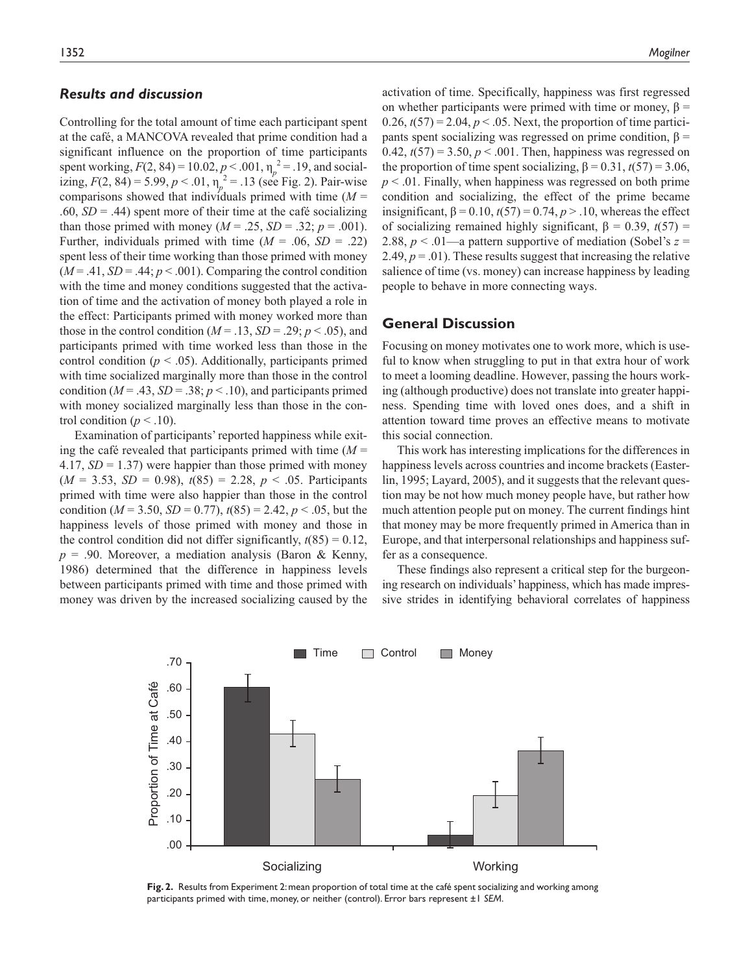# *Results and discussion*

Controlling for the total amount of time each participant spent at the café, a MANCOVA revealed that prime condition had a significant influence on the proportion of time participants spent working,  $F(2, 84) = 10.02$ ,  $p < .001$ ,  $\eta_p^2 = .19$ , and socializing,  $F(2, 84) = 5.99$ ,  $p < .01$ ,  $\eta_p^2 = .13$  (see Fig. 2). Pair-wise comparisons showed that individuals primed with time (*M* = .60,  $SD = .44$ ) spent more of their time at the café socializing than those primed with money ( $M = .25$ ,  $SD = .32$ ;  $p = .001$ ). Further, individuals primed with time  $(M = .06, SD = .22)$ spent less of their time working than those primed with money  $(M = .41, SD = .44; p < .001)$ . Comparing the control condition with the time and money conditions suggested that the activation of time and the activation of money both played a role in the effect: Participants primed with money worked more than those in the control condition ( $M = .13$ ,  $SD = .29$ ;  $p < .05$ ), and participants primed with time worked less than those in the control condition ( $p < .05$ ). Additionally, participants primed with time socialized marginally more than those in the control condition ( $M = .43$ ,  $SD = .38$ ;  $p < .10$ ), and participants primed with money socialized marginally less than those in the control condition ( $p < .10$ ).

Examination of participants' reported happiness while exiting the café revealed that participants primed with time  $(M =$ 4.17,  $SD = 1.37$ ) were happier than those primed with money  $(M = 3.53, SD = 0.98), t(85) = 2.28, p < .05.$  Participants primed with time were also happier than those in the control condition ( $M = 3.50$ ,  $SD = 0.77$ ),  $t(85) = 2.42$ ,  $p < .05$ , but the happiness levels of those primed with money and those in the control condition did not differ significantly,  $t(85) = 0.12$ ,  $p = .90$ . Moreover, a mediation analysis (Baron & Kenny, 1986) determined that the difference in happiness levels between participants primed with time and those primed with money was driven by the increased socializing caused by the

activation of time. Specifically, happiness was first regressed on whether participants were primed with time or money,  $\beta$  =  $0.26$ ,  $t(57) = 2.04$ ,  $p < .05$ . Next, the proportion of time participants spent socializing was regressed on prime condition,  $β =$ 0.42,  $t(57) = 3.50, p < .001$ . Then, happiness was regressed on the proportion of time spent socializing,  $\beta = 0.31$ ,  $t(57) = 3.06$ ,  $p \leq 0.01$ . Finally, when happiness was regressed on both prime condition and socializing, the effect of the prime became insignificant,  $\beta = 0.10$ ,  $t(57) = 0.74$ ,  $p > 0.10$ , whereas the effect of socializing remained highly significant,  $\beta = 0.39$ ,  $t(57) =$ 2.88, *p* < .01—a pattern supportive of mediation (Sobel's *z* = 2.49,  $p = .01$ ). These results suggest that increasing the relative salience of time (vs. money) can increase happiness by leading people to behave in more connecting ways.

#### **General Discussion**

Focusing on money motivates one to work more, which is useful to know when struggling to put in that extra hour of work to meet a looming deadline. However, passing the hours working (although productive) does not translate into greater happiness. Spending time with loved ones does, and a shift in attention toward time proves an effective means to motivate this social connection.

This work has interesting implications for the differences in happiness levels across countries and income brackets (Easterlin, 1995; Layard, 2005), and it suggests that the relevant question may be not how much money people have, but rather how much attention people put on money. The current findings hint that money may be more frequently primed in America than in Europe, and that interpersonal relationships and happiness suffer as a consequence.

These findings also represent a critical step for the burgeoning research on individuals' happiness, which has made impressive strides in identifying behavioral correlates of happiness



**Fig. 2.** Results from Experiment 2: mean proportion of total time at the café spent socializing and working among participants primed with time, money, or neither (control). Error bars represent ±1 *SEM*.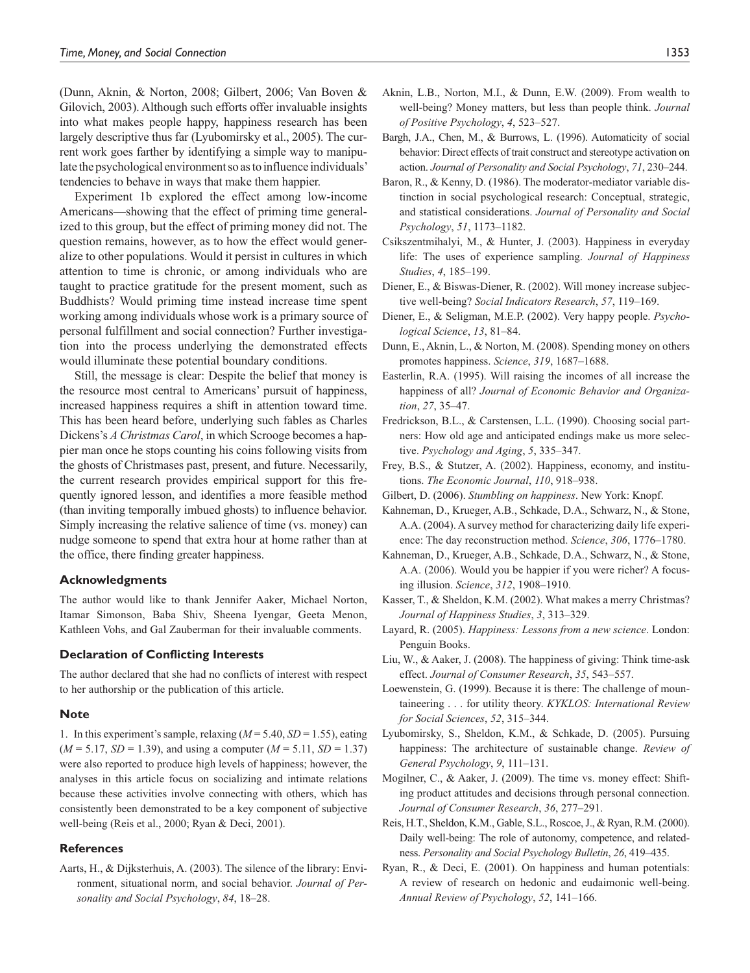(Dunn, Aknin, & Norton, 2008; Gilbert, 2006; Van Boven & Gilovich, 2003). Although such efforts offer invaluable insights into what makes people happy, happiness research has been largely descriptive thus far (Lyubomirsky et al., 2005). The current work goes farther by identifying a simple way to manipulate the psychological environment so as to influence individuals' tendencies to behave in ways that make them happier.

Experiment 1b explored the effect among low-income Americans—showing that the effect of priming time generalized to this group, but the effect of priming money did not. The question remains, however, as to how the effect would generalize to other populations. Would it persist in cultures in which attention to time is chronic, or among individuals who are taught to practice gratitude for the present moment, such as Buddhists? Would priming time instead increase time spent working among individuals whose work is a primary source of personal fulfillment and social connection? Further investigation into the process underlying the demonstrated effects would illuminate these potential boundary conditions.

Still, the message is clear: Despite the belief that money is the resource most central to Americans' pursuit of happiness, increased happiness requires a shift in attention toward time. This has been heard before, underlying such fables as Charles Dickens's *A Christmas Carol*, in which Scrooge becomes a happier man once he stops counting his coins following visits from the ghosts of Christmases past, present, and future. Necessarily, the current research provides empirical support for this frequently ignored lesson, and identifies a more feasible method (than inviting temporally imbued ghosts) to influence behavior. Simply increasing the relative salience of time (vs. money) can nudge someone to spend that extra hour at home rather than at the office, there finding greater happiness.

#### **Acknowledgments**

The author would like to thank Jennifer Aaker, Michael Norton, Itamar Simonson, Baba Shiv, Sheena Iyengar, Geeta Menon, Kathleen Vohs, and Gal Zauberman for their invaluable comments.

#### **Declaration of Conflicting Interests**

The author declared that she had no conflicts of interest with respect to her authorship or the publication of this article.

#### **Note**

1. In this experiment's sample, relaxing  $(M = 5.40, SD = 1.55)$ , eating  $(M = 5.17, SD = 1.39)$ , and using a computer  $(M = 5.11, SD = 1.37)$ were also reported to produce high levels of happiness; however, the analyses in this article focus on socializing and intimate relations because these activities involve connecting with others, which has consistently been demonstrated to be a key component of subjective well-being (Reis et al., 2000; Ryan & Deci, 2001).

#### **References**

Aarts, H., & Dijksterhuis, A. (2003). The silence of the library: Environment, situational norm, and social behavior. *Journal of Personality and Social Psychology*, *84*, 18–28.

- Aknin, L.B., Norton, M.I., & Dunn, E.W. (2009). From wealth to well-being? Money matters, but less than people think. *Journal of Positive Psychology*, *4*, 523–527.
- Bargh, J.A., Chen, M., & Burrows, L. (1996). Automaticity of social behavior: Direct effects of trait construct and stereotype activation on action. *Journal of Personality and Social Psychology*, *71*, 230–244.
- Baron, R., & Kenny, D. (1986). The moderator-mediator variable distinction in social psychological research: Conceptual, strategic, and statistical considerations. *Journal of Personality and Social Psychology*, *51*, 1173–1182.
- Csikszentmihalyi, M., & Hunter, J. (2003). Happiness in everyday life: The uses of experience sampling. *Journal of Happiness Studies*, *4*, 185–199.
- Diener, E., & Biswas-Diener, R. (2002). Will money increase subjective well-being? *Social Indicators Research*, *57*, 119–169.
- Diener, E., & Seligman, M.E.P. (2002). Very happy people. *Psychological Science*, *13*, 81–84.
- Dunn, E., Aknin, L., & Norton, M. (2008). Spending money on others promotes happiness. *Science*, *319*, 1687–1688.
- Easterlin, R.A. (1995). Will raising the incomes of all increase the happiness of all? *Journal of Economic Behavior and Organization*, *27*, 35–47.
- Fredrickson, B.L., & Carstensen, L.L. (1990). Choosing social partners: How old age and anticipated endings make us more selective. *Psychology and Aging*, *5*, 335–347.
- Frey, B.S., & Stutzer, A. (2002). Happiness, economy, and institutions. *The Economic Journal*, *110*, 918–938.
- Gilbert, D. (2006). *Stumbling on happiness*. New York: Knopf.
- Kahneman, D., Krueger, A.B., Schkade, D.A., Schwarz, N., & Stone, A.A. (2004). A survey method for characterizing daily life experience: The day reconstruction method. *Science*, *306*, 1776–1780.
- Kahneman, D., Krueger, A.B., Schkade, D.A., Schwarz, N., & Stone, A.A. (2006). Would you be happier if you were richer? A focusing illusion. *Science*, *312*, 1908–1910.
- Kasser, T., & Sheldon, K.M. (2002). What makes a merry Christmas? *Journal of Happiness Studies*, *3*, 313–329.
- Layard, R. (2005). *Happiness: Lessons from a new science*. London: Penguin Books.
- Liu, W., & Aaker, J. (2008). The happiness of giving: Think time-ask effect. *Journal of Consumer Research*, *35*, 543–557.
- Loewenstein, G. (1999). Because it is there: The challenge of mountaineering . . . for utility theory. *KYKLOS: International Review for Social Sciences*, *52*, 315–344.
- Lyubomirsky, S., Sheldon, K.M., & Schkade, D. (2005). Pursuing happiness: The architecture of sustainable change. *Review of General Psychology*, *9*, 111–131.
- Mogilner, C., & Aaker, J. (2009). The time vs. money effect: Shifting product attitudes and decisions through personal connection. *Journal of Consumer Research*, *36*, 277–291.
- Reis, H.T., Sheldon, K.M., Gable, S.L., Roscoe, J., & Ryan, R.M. (2000). Daily well-being: The role of autonomy, competence, and relatedness. *Personality and Social Psychology Bulletin*, *26*, 419–435.
- Ryan, R., & Deci, E. (2001). On happiness and human potentials: A review of research on hedonic and eudaimonic well-being. *Annual Review of Psychology*, *52*, 141–166.